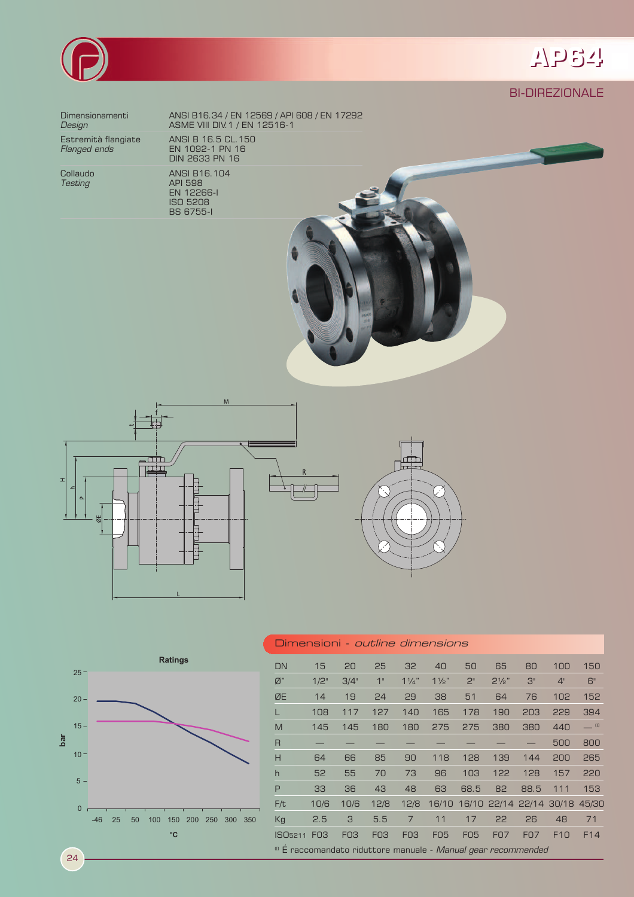

# **AP64**

### BI-DIREZIONALE

Estremità flangiate<br>*Flanged ends* 

**Testing API 598** 

Dimensionamenti ANSI B16.34 / EN 12569 / API 608 / EN 17292 **Design ASME VIII DIV.1 / EN 12516-1** Estremità flangiate ANSI B 16.5 CL.150 DIN 2633 PN 16

Collaudo ANSI B16.104<br>
Testing API 598 EN 12266-I ISO 5208 BS 6755-I









24

#### Dimensioni - outline dimensions

| <b>DN</b>                                                                 | 15              | 20              | 25              | 32              | 40             | 50         | 65               | 80                      | 100 | 150             |
|---------------------------------------------------------------------------|-----------------|-----------------|-----------------|-----------------|----------------|------------|------------------|-------------------------|-----|-----------------|
| $\emptyset$ "                                                             | $1/2$ "         | 3/4"            | 1"              | $1\frac{1}{4}$  | $1\frac{1}{2}$ | 2"         | $2\frac{1}{2}$ " | 3"                      | 4"  | 6"              |
| ØE                                                                        | 14              | 19              | 24              | 29              | 38             | 51         | 64               | 76                      | 102 | 152             |
|                                                                           | 108             | 117             | 127             | 140             | 165            | 178        | 190              | 203                     | 229 | 394             |
| M                                                                         | 145             | 145             | 180             | 180             | 275            | 275        | 380              | 380                     | 440 | $=$ $\omega$    |
| R                                                                         |                 |                 |                 |                 |                |            |                  |                         | 500 | 800             |
| H                                                                         | 64              | 66              | 85              | 90              | 118            | 128        | 139              | 144                     | 200 | 265             |
| $\mathsf{h}$                                                              | 52              | 55              | 70              | 73              | 96             | 103        | 122              | 128                     | 157 | 220             |
| P                                                                         | 33              | 36              | 43              | 48              | 63             | 68.5       | 82               | 88.5                    | 111 | 153             |
| F/t                                                                       | 10/6            | 10/6            | 12/8            | 12/8            | 16/10          |            |                  | 16/10 22/14 22/14 30/18 |     | 45/30           |
| Kg                                                                        | 2.5             | 3               | 5.5             | 7               | 11             | 17         | 22               | 26                      | 48  | 71              |
| ISO <sub>5211</sub>                                                       | F <sub>03</sub> | F <sub>03</sub> | F <sub>03</sub> | FO <sub>3</sub> | <b>F05</b>     | <b>FO5</b> | <b>FO7</b>       | <b>FO7</b>              | F10 | F <sub>14</sub> |
| <sup>(1)</sup> É raccomandato riduttore manuale - Manual gear recommended |                 |                 |                 |                 |                |            |                  |                         |     |                 |